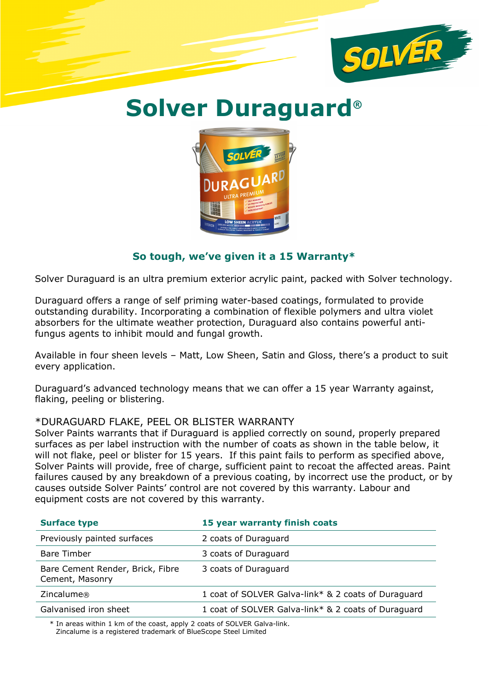

## Solver Duraguard®



## So tough, we've given it a 15 Warranty\*

Solver Duraguard is an ultra premium exterior acrylic paint, packed with Solver technology.

Duraguard offers a range of self priming water-based coatings, formulated to provide outstanding durability. Incorporating a combination of flexible polymers and ultra violet absorbers for the ultimate weather protection, Duraguard also contains powerful antifungus agents to inhibit mould and fungal growth.

Available in four sheen levels – Matt, Low Sheen, Satin and Gloss, there's a product to suit every application.

Duraguard's advanced technology means that we can offer a 15 year Warranty against, flaking, peeling or blistering.

## \*DURAGUARD FLAKE, PEEL OR BLISTER WARRANTY

Solver Paints warrants that if Duraguard is applied correctly on sound, properly prepared surfaces as per label instruction with the number of coats as shown in the table below, it will not flake, peel or blister for 15 years. If this paint fails to perform as specified above, Solver Paints will provide, free of charge, sufficient paint to recoat the affected areas. Paint failures caused by any breakdown of a previous coating, by incorrect use the product, or by causes outside Solver Paints' control are not covered by this warranty. Labour and equipment costs are not covered by this warranty.

| <b>Surface type</b>                                 | 15 year warranty finish coats                       |
|-----------------------------------------------------|-----------------------------------------------------|
| Previously painted surfaces                         | 2 coats of Duraguard                                |
| <b>Bare Timber</b>                                  | 3 coats of Duraguard                                |
| Bare Cement Render, Brick, Fibre<br>Cement, Masonry | 3 coats of Duraguard                                |
| Zincalume®                                          | 1 coat of SOLVER Galva-link* & 2 coats of Duraguard |
| Galvanised iron sheet                               | 1 coat of SOLVER Galva-link* & 2 coats of Duraguard |

\* In areas within 1 km of the coast, apply 2 coats of SOLVER Galva-link. Zincalume is a registered trademark of BlueScope Steel Limited